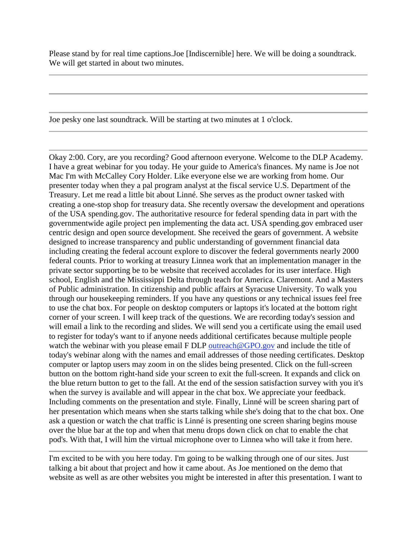Please stand by for real time captions.Joe [Indiscernible] here. We will be doing a soundtrack. We will get started in about two minutes.

Joe pesky one last soundtrack. Will be starting at two minutes at 1 o'clock.

Okay 2:00. Cory, are you recording? Good afternoon everyone. Welcome to the DLP Academy. I have a great webinar for you today. He your guide to America's finances. My name is Joe not Mac I'm with McCalley Cory Holder. Like everyone else we are working from home. Our presenter today when they a pal program analyst at the fiscal service U.S. Department of the Treasury. Let me read a little bit about Linné. She serves as the product owner tasked with creating a one-stop shop for treasury data. She recently oversaw the development and operations of the USA spending.gov. The authoritative resource for federal spending data in part with the governmentwide agile project pen implementing the data act. USA spending.gov embraced user centric design and open source development. She received the gears of government. A website designed to increase transparency and public understanding of government financial data including creating the federal account explore to discover the federal governments nearly 2000 federal counts. Prior to working at treasury Linnea work that an implementation manager in the private sector supporting be to be website that received accolades for its user interface. High school, English and the Mississippi Delta through teach for America. Claremont. And a Masters of Public administration. In citizenship and public affairs at Syracuse University. To walk you through our housekeeping reminders. If you have any questions or any technical issues feel free to use the chat box. For people on desktop computers or laptops it's located at the bottom right corner of your screen. I will keep track of the questions. We are recording today's session and will email a link to the recording and slides. We will send you a certificate using the email used to register for today's want to if anyone needs additional certificates because multiple people watch the webinar with you please email F DLP [outreach@GPO.gov](mailto:outreach@GPO.gov) and include the title of today's webinar along with the names and email addresses of those needing certificates. Desktop computer or laptop users may zoom in on the slides being presented. Click on the full-screen button on the bottom right-hand side your screen to exit the full-screen. It expands and click on the blue return button to get to the fall. At the end of the session satisfaction survey with you it's when the survey is available and will appear in the chat box. We appreciate your feedback. Including comments on the presentation and style. Finally, Linné will be screen sharing part of her presentation which means when she starts talking while she's doing that to the chat box. One ask a question or watch the chat traffic is Linné is presenting one screen sharing begins mouse over the blue bar at the top and when that menu drops down click on chat to enable the chat pod's. With that, I will him the virtual microphone over to Linnea who will take it from here.

I'm excited to be with you here today. I'm going to be walking through one of our sites. Just talking a bit about that project and how it came about. As Joe mentioned on the demo that website as well as are other websites you might be interested in after this presentation. I want to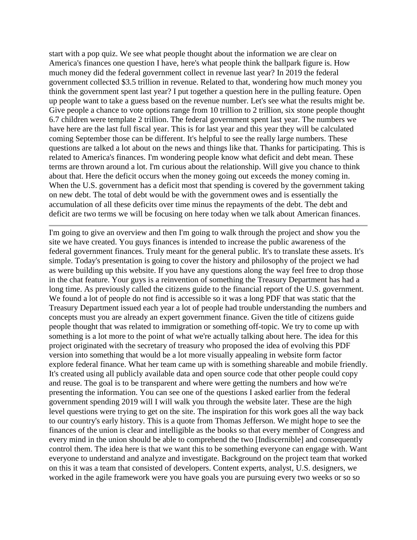start with a pop quiz. We see what people thought about the information we are clear on America's finances one question I have, here's what people think the ballpark figure is. How much money did the federal government collect in revenue last year? In 2019 the federal government collected \$3.5 trillion in revenue. Related to that, wondering how much money you think the government spent last year? I put together a question here in the pulling feature. Open up people want to take a guess based on the revenue number. Let's see what the results might be. Give people a chance to vote options range from 10 trillion to 2 trillion, six stone people thought 6.7 children were template 2 trillion. The federal government spent last year. The numbers we have here are the last full fiscal year. This is for last year and this year they will be calculated coming September those can be different. It's helpful to see the really large numbers. These questions are talked a lot about on the news and things like that. Thanks for participating. This is related to America's finances. I'm wondering people know what deficit and debt mean. These terms are thrown around a lot. I'm curious about the relationship. Will give you chance to think about that. Here the deficit occurs when the money going out exceeds the money coming in. When the U.S. government has a deficit most that spending is covered by the government taking on new debt. The total of debt would be with the government owes and is essentially the accumulation of all these deficits over time minus the repayments of the debt. The debt and deficit are two terms we will be focusing on here today when we talk about American finances.

I'm going to give an overview and then I'm going to walk through the project and show you the site we have created. You guys finances is intended to increase the public awareness of the federal government finances. Truly meant for the general public. It's to translate these assets. It's simple. Today's presentation is going to cover the history and philosophy of the project we had as were building up this website. If you have any questions along the way feel free to drop those in the chat feature. Your guys is a reinvention of something the Treasury Department has had a long time. As previously called the citizens guide to the financial report of the U.S. government. We found a lot of people do not find is accessible so it was a long PDF that was static that the Treasury Department issued each year a lot of people had trouble understanding the numbers and concepts must you are already an expert government finance. Given the title of citizens guide people thought that was related to immigration or something off-topic. We try to come up with something is a lot more to the point of what we're actually talking about here. The idea for this project originated with the secretary of treasury who proposed the idea of evolving this PDF version into something that would be a lot more visually appealing in website form factor explore federal finance. What her team came up with is something shareable and mobile friendly. It's created using all publicly available data and open source code that other people could copy and reuse. The goal is to be transparent and where were getting the numbers and how we're presenting the information. You can see one of the questions I asked earlier from the federal government spending 2019 will I will walk you through the website later. These are the high level questions were trying to get on the site. The inspiration for this work goes all the way back to our country's early history. This is a quote from Thomas Jefferson. We might hope to see the finances of the union is clear and intelligible as the books so that every member of Congress and every mind in the union should be able to comprehend the two [Indiscernible] and consequently control them. The idea here is that we want this to be something everyone can engage with. Want everyone to understand and analyze and investigate. Background on the project team that worked on this it was a team that consisted of developers. Content experts, analyst, U.S. designers, we worked in the agile framework were you have goals you are pursuing every two weeks or so so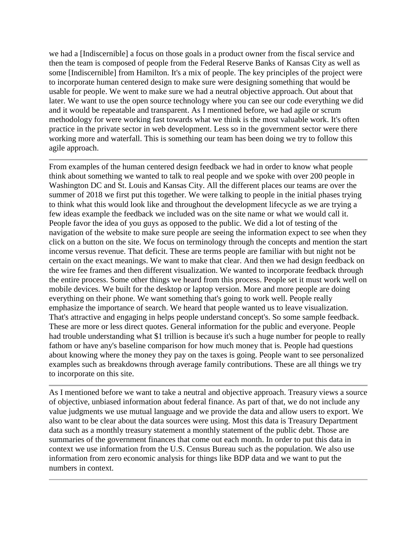we had a [Indiscernible] a focus on those goals in a product owner from the fiscal service and then the team is composed of people from the Federal Reserve Banks of Kansas City as well as some [Indiscernible] from Hamilton. It's a mix of people. The key principles of the project were to incorporate human centered design to make sure were designing something that would be usable for people. We went to make sure we had a neutral objective approach. Out about that later. We want to use the open source technology where you can see our code everything we did and it would be repeatable and transparent. As I mentioned before, we had agile or scrum methodology for were working fast towards what we think is the most valuable work. It's often practice in the private sector in web development. Less so in the government sector were there working more and waterfall. This is something our team has been doing we try to follow this agile approach.

From examples of the human centered design feedback we had in order to know what people think about something we wanted to talk to real people and we spoke with over 200 people in Washington DC and St. Louis and Kansas City. All the different places our teams are over the summer of 2018 we first put this together. We were talking to people in the initial phases trying to think what this would look like and throughout the development lifecycle as we are trying a few ideas example the feedback we included was on the site name or what we would call it. People favor the idea of you guys as opposed to the public. We did a lot of testing of the navigation of the website to make sure people are seeing the information expect to see when they click on a button on the site. We focus on terminology through the concepts and mention the start income versus revenue. That deficit. These are terms people are familiar with but night not be certain on the exact meanings. We want to make that clear. And then we had design feedback on the wire fee frames and then different visualization. We wanted to incorporate feedback through the entire process. Some other things we heard from this process. People set it must work well on mobile devices. We built for the desktop or laptop version. More and more people are doing everything on their phone. We want something that's going to work well. People really emphasize the importance of search. We heard that people wanted us to leave visualization. That's attractive and engaging in helps people understand concept's. So some sample feedback. These are more or less direct quotes. General information for the public and everyone. People had trouble understanding what \$1 trillion is because it's such a huge number for people to really fathom or have any's baseline comparison for how much money that is. People had questions about knowing where the money they pay on the taxes is going. People want to see personalized examples such as breakdowns through average family contributions. These are all things we try to incorporate on this site.

As I mentioned before we want to take a neutral and objective approach. Treasury views a source of objective, unbiased information about federal finance. As part of that, we do not include any value judgments we use mutual language and we provide the data and allow users to export. We also want to be clear about the data sources were using. Most this data is Treasury Department data such as a monthly treasury statement a monthly statement of the public debt. Those are summaries of the government finances that come out each month. In order to put this data in context we use information from the U.S. Census Bureau such as the population. We also use information from zero economic analysis for things like BDP data and we want to put the numbers in context.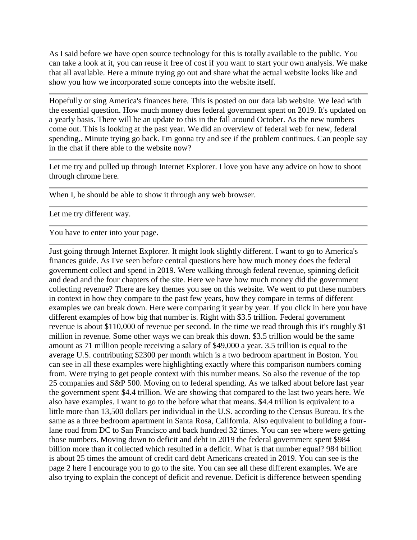As I said before we have open source technology for this is totally available to the public. You can take a look at it, you can reuse it free of cost if you want to start your own analysis. We make that all available. Here a minute trying go out and share what the actual website looks like and show you how we incorporated some concepts into the website itself.

Hopefully or sing America's finances here. This is posted on our data lab website. We lead with the essential question. How much money does federal government spent on 2019. It's updated on a yearly basis. There will be an update to this in the fall around October. As the new numbers come out. This is looking at the past year. We did an overview of federal web for new, federal spending,. Minute trying go back. I'm gonna try and see if the problem continues. Can people say in the chat if there able to the website now?

Let me try and pulled up through Internet Explorer. I love you have any advice on how to shoot through chrome here.

When I, he should be able to show it through any web browser.

Let me try different way.

You have to enter into your page.

Just going through Internet Explorer. It might look slightly different. I want to go to America's finances guide. As I've seen before central questions here how much money does the federal government collect and spend in 2019. Were walking through federal revenue, spinning deficit and dead and the four chapters of the site. Here we have how much money did the government collecting revenue? There are key themes you see on this website. We went to put these numbers in context in how they compare to the past few years, how they compare in terms of different examples we can break down. Here were comparing it year by year. If you click in here you have different examples of how big that number is. Right with \$3.5 trillion. Federal government revenue is about \$110,000 of revenue per second. In the time we read through this it's roughly \$1 million in revenue. Some other ways we can break this down. \$3.5 trillion would be the same amount as 71 million people receiving a salary of \$49,000 a year. 3.5 trillion is equal to the average U.S. contributing \$2300 per month which is a two bedroom apartment in Boston. You can see in all these examples were highlighting exactly where this comparison numbers coming from. Were trying to get people context with this number means. So also the revenue of the top 25 companies and S&P 500. Moving on to federal spending. As we talked about before last year the government spent \$4.4 trillion. We are showing that compared to the last two years here. We also have examples. I want to go to the before what that means. \$4.4 trillion is equivalent to a little more than 13,500 dollars per individual in the U.S. according to the Census Bureau. It's the same as a three bedroom apartment in Santa Rosa, California. Also equivalent to building a fourlane road from DC to San Francisco and back hundred 32 times. You can see where were getting those numbers. Moving down to deficit and debt in 2019 the federal government spent \$984 billion more than it collected which resulted in a deficit. What is that number equal? 984 billion is about 25 times the amount of credit card debt Americans created in 2019. You can see is the page 2 here I encourage you to go to the site. You can see all these different examples. We are also trying to explain the concept of deficit and revenue. Deficit is difference between spending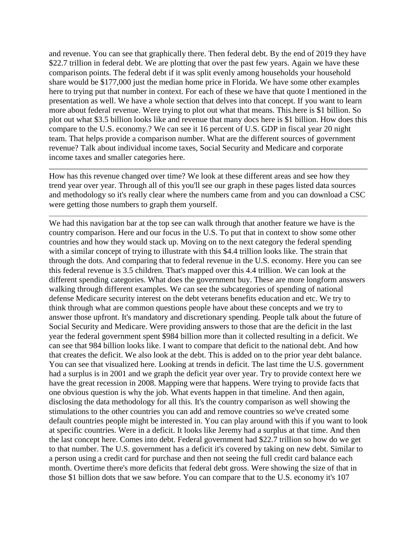and revenue. You can see that graphically there. Then federal debt. By the end of 2019 they have \$22.7 trillion in federal debt. We are plotting that over the past few years. Again we have these comparison points. The federal debt if it was split evenly among households your household share would be \$177,000 just the median home price in Florida. We have some other examples here to trying put that number in context. For each of these we have that quote I mentioned in the presentation as well. We have a whole section that delves into that concept. If you want to learn more about federal revenue. Were trying to plot out what that means. This.here is \$1 billion. So plot out what \$3.5 billion looks like and revenue that many docs here is \$1 billion. How does this compare to the U.S. economy.? We can see it 16 percent of U.S. GDP in fiscal year 20 night team. That helps provide a comparison number. What are the different sources of government revenue? Talk about individual income taxes, Social Security and Medicare and corporate income taxes and smaller categories here.

How has this revenue changed over time? We look at these different areas and see how they trend year over year. Through all of this you'll see our graph in these pages listed data sources and methodology so it's really clear where the numbers came from and you can download a CSC were getting those numbers to graph them yourself.

We had this navigation bar at the top see can walk through that another feature we have is the country comparison. Here and our focus in the U.S. To put that in context to show some other countries and how they would stack up. Moving on to the next category the federal spending with a similar concept of trying to illustrate with this \$4.4 trillion looks like. The strain that through the dots. And comparing that to federal revenue in the U.S. economy. Here you can see this federal revenue is 3.5 children. That's mapped over this 4.4 trillion. We can look at the different spending categories. What does the government buy. These are more longform answers walking through different examples. We can see the subcategories of spending of national defense Medicare security interest on the debt veterans benefits education and etc. We try to think through what are common questions people have about these concepts and we try to answer those upfront. It's mandatory and discretionary spending. People talk about the future of Social Security and Medicare. Were providing answers to those that are the deficit in the last year the federal government spent \$984 billion more than it collected resulting in a deficit. We can see that 984 billion looks like. I want to compare that deficit to the national debt. And how that creates the deficit. We also look at the debt. This is added on to the prior year debt balance. You can see that visualized here. Looking at trends in deficit. The last time the U.S. government had a surplus is in 2001 and we graph the deficit year over year. Try to provide context here we have the great recession in 2008. Mapping were that happens. Were trying to provide facts that one obvious question is why the job. What events happen in that timeline. And then again, disclosing the data methodology for all this. It's the country comparison as well showing the stimulations to the other countries you can add and remove countries so we've created some default countries people might be interested in. You can play around with this if you want to look at specific countries. Were in a deficit. It looks like Jeremy had a surplus at that time. And then the last concept here. Comes into debt. Federal government had \$22.7 trillion so how do we get to that number. The U.S. government has a deficit it's covered by taking on new debt. Similar to a person using a credit card for purchase and then not seeing the full credit card balance each month. Overtime there's more deficits that federal debt gross. Were showing the size of that in those \$1 billion dots that we saw before. You can compare that to the U.S. economy it's 107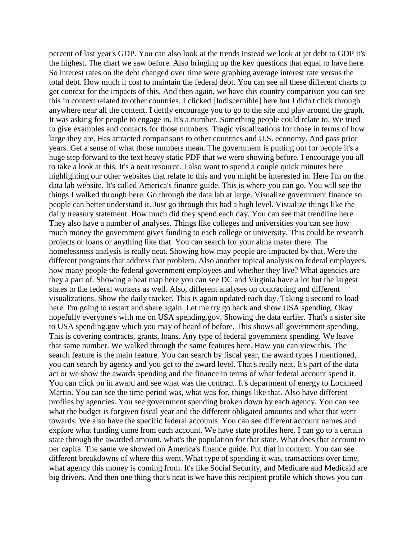percent of last year's GDP. You can also look at the trends instead we look at jet debt to GDP it's the highest. The chart we saw before. Also bringing up the key questions that equal to have here. So interest rates on the debt changed over time were graphing average interest rate versus the total debt. How much it cost to maintain the federal debt. You can see all these different charts to get context for the impacts of this. And then again, we have this country comparison you can see this in context related to other countries. I clicked [Indiscernible] here but I didn't click through anywhere near all the content. I deftly encourage you to go to the site and play around the graph. It was asking for people to engage in. It's a number. Something people could relate to. We tried to give examples and contacts for those numbers. Tragic visualizations for those in terms of how large they are. Has attracted comparisons to other countries and U.S. economy. And pass prior years. Get a sense of what those numbers mean. The government is putting out for people it's a huge step forward to the text heavy static PDF that we were showing before. I encourage you all to take a look at this. It's a neat resource. I also want to spend a couple quick minutes here highlighting our other websites that relate to this and you might be interested in. Here I'm on the data lab website. It's called America's finance guide. This is where you can go. You will see the things I walked through here. Go through the data lab at large. Visualize government finance so people can better understand it. Just go through this had a high level. Visualize things like the daily treasury statement. How much did they spend each day. You can see that trendline here. They also have a number of analyses. Things like colleges and universities you can see how much money the government gives funding to each college or university. This could be research projects or loans or anything like that. You can search for your alma mater there. The homelessness analysis is really neat. Showing how may people are impacted by that. Were the different programs that address that problem. Also another topical analysis on federal employees, how many people the federal government employees and whether they live? What agencies are they a part of. Showing a heat map here you can see DC and Virginia have a lot but the largest states to the federal workers as well. Also, different analyses on contracting and different visualizations. Show the daily tracker. This is again updated each day. Taking a second to load here. I'm going to restart and share again. Let me try go back and show USA spending. Okay hopefully everyone's with me on USA spending.gov. Showing the data earlier. That's a sister site to USA spending.gov which you may of heard of before. This shows all government spending. This is covering contracts, grants, loans. Any type of federal government spending. We leave that same number. We walked through the same features here. How you can view this. The search feature is the main feature. You can search by fiscal year, the award types I mentioned, you can search by agency and you get to the award level. That's really neat. It's part of the data act or we show the awards spending and the finance in terms of what federal account spend it. You can click on in award and see what was the contract. It's department of energy to Lockheed Martin. You can see the time period was, what was for, things like that. Also have different profiles by agencies. You see government spending broken down by each agency. You can see what the budget is forgiven fiscal year and the different obligated amounts and what that went towards. We also have the specific federal accounts. You can see different account names and explore what funding came from each account. We have state profiles here. I can go to a certain state through the awarded amount, what's the population for that state. What does that account to per capita. The same we showed on America's finance guide. Put that in context. You can see different breakdowns of where this went. What type of spending it was, transactions over time, what agency this money is coming from. It's like Social Security, and Medicare and Medicaid are big drivers. And then one thing that's neat is we have this recipient profile which shows you can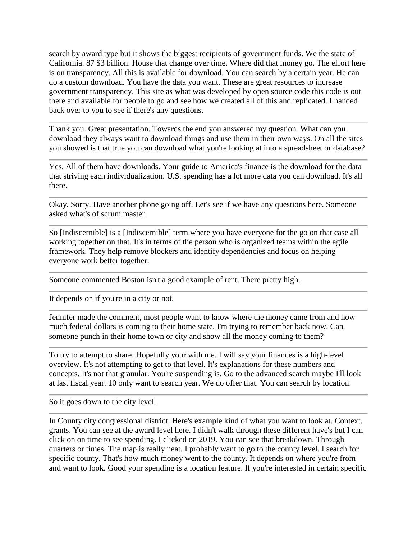search by award type but it shows the biggest recipients of government funds. We the state of California. 87 \$3 billion. House that change over time. Where did that money go. The effort here is on transparency. All this is available for download. You can search by a certain year. He can do a custom download. You have the data you want. These are great resources to increase government transparency. This site as what was developed by open source code this code is out there and available for people to go and see how we created all of this and replicated. I handed back over to you to see if there's any questions.

Thank you. Great presentation. Towards the end you answered my question. What can you download they always want to download things and use them in their own ways. On all the sites you showed is that true you can download what you're looking at into a spreadsheet or database?

Yes. All of them have downloads. Your guide to America's finance is the download for the data that striving each individualization. U.S. spending has a lot more data you can download. It's all there.

Okay. Sorry. Have another phone going off. Let's see if we have any questions here. Someone asked what's of scrum master.

So [Indiscernible] is a [Indiscernible] term where you have everyone for the go on that case all working together on that. It's in terms of the person who is organized teams within the agile framework. They help remove blockers and identify dependencies and focus on helping everyone work better together.

Someone commented Boston isn't a good example of rent. There pretty high.

It depends on if you're in a city or not.

Jennifer made the comment, most people want to know where the money came from and how much federal dollars is coming to their home state. I'm trying to remember back now. Can someone punch in their home town or city and show all the money coming to them?

To try to attempt to share. Hopefully your with me. I will say your finances is a high-level overview. It's not attempting to get to that level. It's explanations for these numbers and concepts. It's not that granular. You're suspending is. Go to the advanced search maybe I'll look at last fiscal year. 10 only want to search year. We do offer that. You can search by location.

So it goes down to the city level.

In County city congressional district. Here's example kind of what you want to look at. Context, grants. You can see at the award level here. I didn't walk through these different have's but I can click on on time to see spending. I clicked on 2019. You can see that breakdown. Through quarters or times. The map is really neat. I probably want to go to the county level. I search for specific county. That's how much money went to the county. It depends on where you're from and want to look. Good your spending is a location feature. If you're interested in certain specific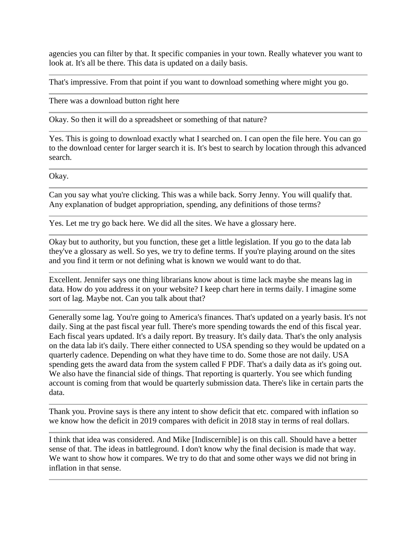agencies you can filter by that. It specific companies in your town. Really whatever you want to look at. It's all be there. This data is updated on a daily basis.

That's impressive. From that point if you want to download something where might you go.

There was a download button right here

Okay. So then it will do a spreadsheet or something of that nature?

Yes. This is going to download exactly what I searched on. I can open the file here. You can go to the download center for larger search it is. It's best to search by location through this advanced search.

Okay.

Can you say what you're clicking. This was a while back. Sorry Jenny. You will qualify that. Any explanation of budget appropriation, spending, any definitions of those terms?

Yes. Let me try go back here. We did all the sites. We have a glossary here.

Okay but to authority, but you function, these get a little legislation. If you go to the data lab they've a glossary as well. So yes, we try to define terms. If you're playing around on the sites and you find it term or not defining what is known we would want to do that.

Excellent. Jennifer says one thing librarians know about is time lack maybe she means lag in data. How do you address it on your website? I keep chart here in terms daily. I imagine some sort of lag. Maybe not. Can you talk about that?

Generally some lag. You're going to America's finances. That's updated on a yearly basis. It's not daily. Sing at the past fiscal year full. There's more spending towards the end of this fiscal year. Each fiscal years updated. It's a daily report. By treasury. It's daily data. That's the only analysis on the data lab it's daily. There either connected to USA spending so they would be updated on a quarterly cadence. Depending on what they have time to do. Some those are not daily. USA spending gets the award data from the system called F PDF. That's a daily data as it's going out. We also have the financial side of things. That reporting is quarterly. You see which funding account is coming from that would be quarterly submission data. There's like in certain parts the data.

Thank you. Provine says is there any intent to show deficit that etc. compared with inflation so we know how the deficit in 2019 compares with deficit in 2018 stay in terms of real dollars.

I think that idea was considered. And Mike [Indiscernible] is on this call. Should have a better sense of that. The ideas in battleground. I don't know why the final decision is made that way. We want to show how it compares. We try to do that and some other ways we did not bring in inflation in that sense.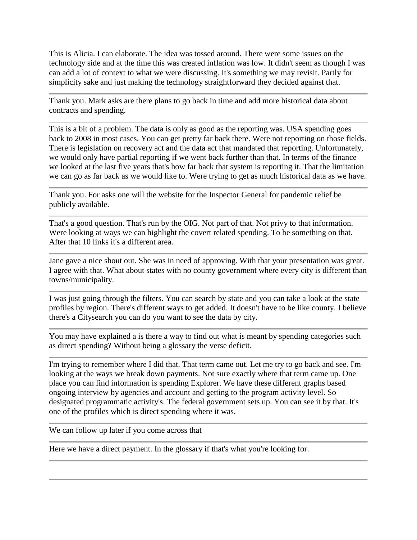This is Alicia. I can elaborate. The idea was tossed around. There were some issues on the technology side and at the time this was created inflation was low. It didn't seem as though I was can add a lot of context to what we were discussing. It's something we may revisit. Partly for simplicity sake and just making the technology straightforward they decided against that.

Thank you. Mark asks are there plans to go back in time and add more historical data about contracts and spending.

This is a bit of a problem. The data is only as good as the reporting was. USA spending goes back to 2008 in most cases. You can get pretty far back there. Were not reporting on those fields. There is legislation on recovery act and the data act that mandated that reporting. Unfortunately, we would only have partial reporting if we went back further than that. In terms of the finance we looked at the last five years that's how far back that system is reporting it. That the limitation we can go as far back as we would like to. Were trying to get as much historical data as we have.

Thank you. For asks one will the website for the Inspector General for pandemic relief be publicly available.

That's a good question. That's run by the OIG. Not part of that. Not privy to that information. Were looking at ways we can highlight the covert related spending. To be something on that. After that 10 links it's a different area.

Jane gave a nice shout out. She was in need of approving. With that your presentation was great. I agree with that. What about states with no county government where every city is different than towns/municipality.

I was just going through the filters. You can search by state and you can take a look at the state profiles by region. There's different ways to get added. It doesn't have to be like county. I believe there's a Citysearch you can do you want to see the data by city.

You may have explained a is there a way to find out what is meant by spending categories such as direct spending? Without being a glossary the verse deficit.

I'm trying to remember where I did that. That term came out. Let me try to go back and see. I'm looking at the ways we break down payments. Not sure exactly where that term came up. One place you can find information is spending Explorer. We have these different graphs based ongoing interview by agencies and account and getting to the program activity level. So designated programmatic activity's. The federal government sets up. You can see it by that. It's one of the profiles which is direct spending where it was.

We can follow up later if you come across that

Here we have a direct payment. In the glossary if that's what you're looking for.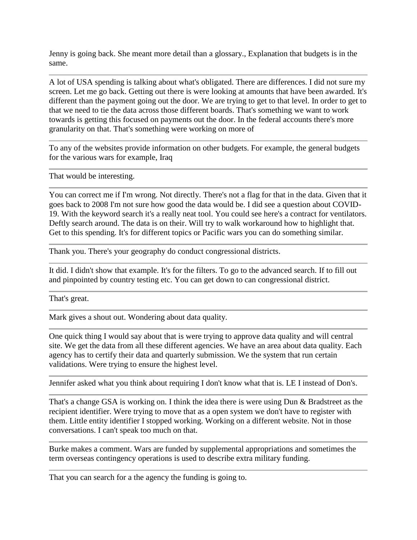Jenny is going back. She meant more detail than a glossary., Explanation that budgets is in the same.

A lot of USA spending is talking about what's obligated. There are differences. I did not sure my screen. Let me go back. Getting out there is were looking at amounts that have been awarded. It's different than the payment going out the door. We are trying to get to that level. In order to get to that we need to tie the data across those different boards. That's something we want to work towards is getting this focused on payments out the door. In the federal accounts there's more granularity on that. That's something were working on more of

To any of the websites provide information on other budgets. For example, the general budgets for the various wars for example, Iraq

That would be interesting.

You can correct me if I'm wrong. Not directly. There's not a flag for that in the data. Given that it goes back to 2008 I'm not sure how good the data would be. I did see a question about COVID-19. With the keyword search it's a really neat tool. You could see here's a contract for ventilators. Deftly search around. The data is on their. Will try to walk workaround how to highlight that. Get to this spending. It's for different topics or Pacific wars you can do something similar.

Thank you. There's your geography do conduct congressional districts.

It did. I didn't show that example. It's for the filters. To go to the advanced search. If to fill out and pinpointed by country testing etc. You can get down to can congressional district.

That's great.

Mark gives a shout out. Wondering about data quality.

One quick thing I would say about that is were trying to approve data quality and will central site. We get the data from all these different agencies. We have an area about data quality. Each agency has to certify their data and quarterly submission. We the system that run certain validations. Were trying to ensure the highest level.

Jennifer asked what you think about requiring I don't know what that is. LE I instead of Don's.

That's a change GSA is working on. I think the idea there is were using Dun & Bradstreet as the recipient identifier. Were trying to move that as a open system we don't have to register with them. Little entity identifier I stopped working. Working on a different website. Not in those conversations. I can't speak too much on that.

Burke makes a comment. Wars are funded by supplemental appropriations and sometimes the term overseas contingency operations is used to describe extra military funding.

That you can search for a the agency the funding is going to.